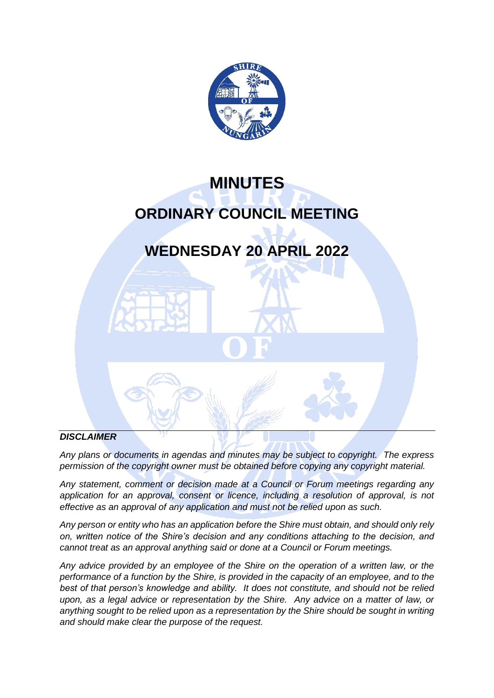

# **MINUTES ORDINARY COUNCIL MEETING**

## **WEDNESDAY 20 APRIL 2022**

#### *DISCLAIMER*

*Any plans or documents in agendas and minutes may be subject to copyright. The express permission of the copyright owner must be obtained before copying any copyright material.* 

*Any statement, comment or decision made at a Council or Forum meetings regarding any*  application for an approval, consent or licence, including a resolution of approval, is not *effective as an approval of any application and must not be relied upon as such.*

*Any person or entity who has an application before the Shire must obtain, and should only rely on, written notice of the Shire's decision and any conditions attaching to the decision, and cannot treat as an approval anything said or done at a Council or Forum meetings.*

*Any advice provided by an employee of the Shire on the operation of a written law, or the performance of a function by the Shire, is provided in the capacity of an employee, and to the best of that person's knowledge and ability. It does not constitute, and should not be relied upon, as a legal advice or representation by the Shire. Any advice on a matter of law, or anything sought to be relied upon as a representation by the Shire should be sought in writing and should make clear the purpose of the request.*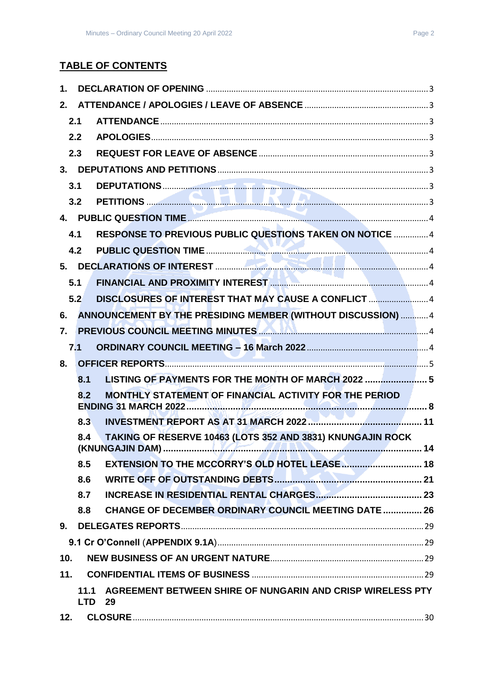## **TABLE OF CONTENTS**

| 1.  |      |                                                                             |  |
|-----|------|-----------------------------------------------------------------------------|--|
| 2.  |      |                                                                             |  |
|     | 2.1  |                                                                             |  |
|     | 2.2  |                                                                             |  |
|     | 2.3  |                                                                             |  |
|     |      |                                                                             |  |
|     | 3.1  |                                                                             |  |
|     | 3.2  |                                                                             |  |
|     |      |                                                                             |  |
|     | 4.1  | RESPONSE TO PREVIOUS PUBLIC QUESTIONS TAKEN ON NOTICE  4                    |  |
|     | 4.2  |                                                                             |  |
|     |      |                                                                             |  |
|     | 5.1  |                                                                             |  |
|     | 5.2  | DISCLOSURES OF INTEREST THAT MAY CAUSE A CONFLICT 4                         |  |
| 6.  |      | ANNOUNCEMENT BY THE PRESIDING MEMBER (WITHOUT DISCUSSION)  4                |  |
| 7.  |      | PREVIOUS COUNCIL MEETING MINUTES <b>AND ALL CONTRACT AND ALL COUNCIL</b> 4  |  |
|     | 7.1  |                                                                             |  |
| 8.  |      |                                                                             |  |
|     | 8.1  | LISTING OF PAYMENTS FOR THE MONTH OF MARCH 2022  5                          |  |
|     | 8.2  | MONTHLY STATEMENT OF FINANCIAL ACTIVITY FOR THE PERIOD                      |  |
|     | 8.3  |                                                                             |  |
|     | 8.4  | TAKING OF RESERVE 10463 (LOTS 352 AND 3831) KNUNGAJIN ROCK                  |  |
|     | 8.5  | EXTENSION TO THE MCCORRY'S OLD HOTEL LEASE <b>Manual</b> 2018 18            |  |
|     | 8.6  |                                                                             |  |
|     | 8.7  |                                                                             |  |
|     | 8.8  | <b>CHANGE OF DECEMBER ORDINARY COUNCIL MEETING DATE  26</b>                 |  |
|     |      |                                                                             |  |
|     |      |                                                                             |  |
| 10. |      |                                                                             |  |
| 11. |      |                                                                             |  |
|     | 11.1 | AGREEMENT BETWEEN SHIRE OF NUNGARIN AND CRISP WIRELESS PTY<br><b>LTD 29</b> |  |
| 12. |      |                                                                             |  |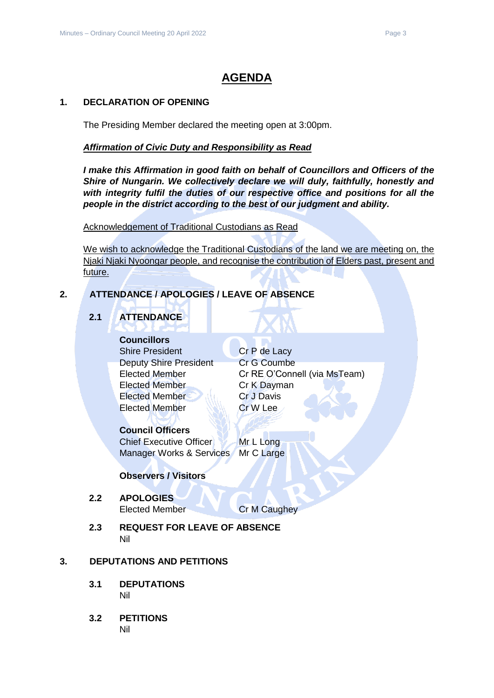## **AGENDA**

#### <span id="page-2-0"></span>**1. DECLARATION OF OPENING**

The Presiding Member declared the meeting open at 3:00pm.

#### *Affirmation of Civic Duty and Responsibility as Read*

*I make this Affirmation in good faith on behalf of Councillors and Officers of the Shire of Nungarin. We collectively declare we will duly, faithfully, honestly and with integrity fulfil the duties of our respective office and positions for all the people in the district according to the best of our judgment and ability.*

Acknowledgement of Traditional Custodians as Read

We wish to acknowledge the Traditional Custodians of the land we are meeting on, the Njaki Njaki Nyoongar people, and recognise the contribution of Elders past, present and future.

#### <span id="page-2-2"></span><span id="page-2-1"></span>**2. ATTENDANCE / APOLOGIES / LEAVE OF ABSENCE**

## **2.1 ATTENDANCE**

**Councillors** Shire President Cr P de Lacy Deputy Shire President Cr G Coumbe Elected Member Cr K Dayman Elected Member Cr J Davis

Elected Member Cr RE O'Connell (via MsTeam) Elected Member Cr W Lee

#### **Council Officers**

Chief Executive Officer Mr L Long Manager Works & Services Mr C Large

#### **Observers / Visitors**

## <span id="page-2-3"></span>**2.2 APOLOGIES**

Elected Member Cr M Caughey

<span id="page-2-4"></span>**2.3 REQUEST FOR LEAVE OF ABSENCE** Nil

#### <span id="page-2-6"></span><span id="page-2-5"></span>**3. DEPUTATIONS AND PETITIONS**

- **3.1 DEPUTATIONS** Nil
- <span id="page-2-7"></span>**3.2 PETITIONS** Nil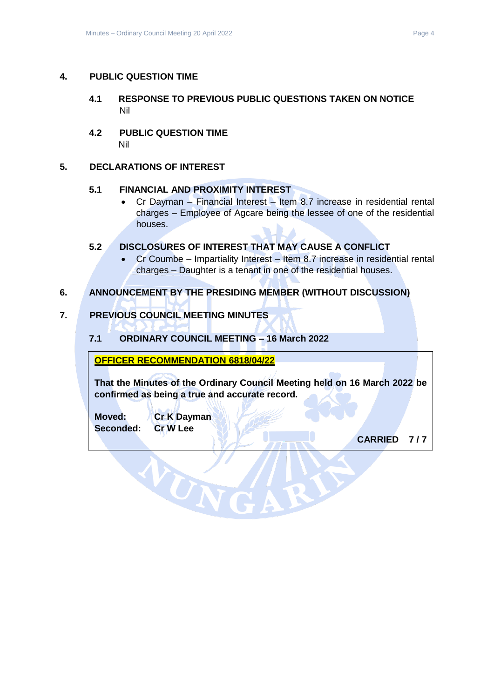#### <span id="page-3-1"></span><span id="page-3-0"></span>**4. PUBLIC QUESTION TIME**

- **4.1 RESPONSE TO PREVIOUS PUBLIC QUESTIONS TAKEN ON NOTICE** Nil
- <span id="page-3-2"></span>**4.2 PUBLIC QUESTION TIME** Nil

#### <span id="page-3-4"></span><span id="page-3-3"></span>**5. DECLARATIONS OF INTEREST**

#### **5.1 FINANCIAL AND PROXIMITY INTEREST**

• Cr Dayman – Financial Interest – Item 8.7 increase in residential rental charges – Employee of Agcare being the lessee of one of the residential houses.

#### <span id="page-3-5"></span>**5.2 DISCLOSURES OF INTEREST THAT MAY CAUSE A CONFLICT**

• Cr Coumbe – Impartiality Interest – Item 8.7 increase in residential rental charges – Daughter is a tenant in one of the residential houses.

#### <span id="page-3-6"></span>**6. ANNOUNCEMENT BY THE PRESIDING MEMBER (WITHOUT DISCUSSION)**

#### <span id="page-3-8"></span><span id="page-3-7"></span>**7. PREVIOUS COUNCIL MEETING MINUTES**

#### **7.1 ORDINARY COUNCIL MEETING – 16 March 2022**

#### **OFFICER RECOMMENDATION 6818/04/22**

WUN

**That the Minutes of the Ordinary Council Meeting held on 16 March 2022 be confirmed as being a true and accurate record.**

**Moved: Cr K Dayman Seconded: Cr W Lee**

**CARRIED 7 / 7**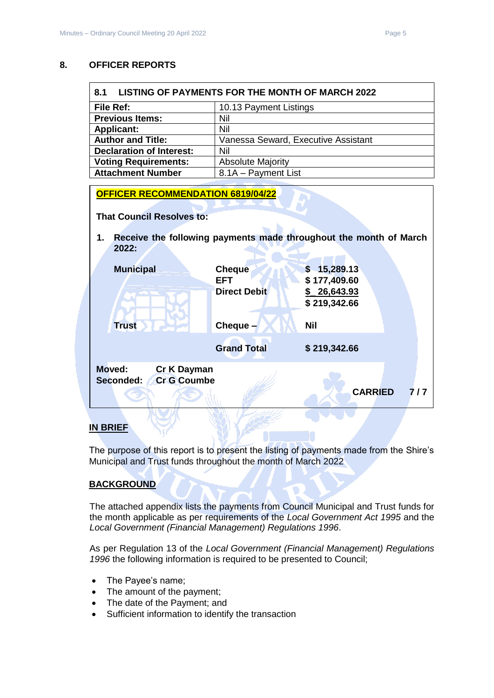#### <span id="page-4-0"></span>**8. OFFICER REPORTS**

<span id="page-4-1"></span>

| <b>LISTING OF PAYMENTS FOR THE MONTH OF MARCH 2022</b><br>8.1 |                                     |  |  |  |
|---------------------------------------------------------------|-------------------------------------|--|--|--|
| File Ref:                                                     | 10.13 Payment Listings              |  |  |  |
| <b>Previous Items:</b>                                        | Nil                                 |  |  |  |
| <b>Applicant:</b>                                             | Nil                                 |  |  |  |
| <b>Author and Title:</b>                                      | Vanessa Seward, Executive Assistant |  |  |  |
| <b>Declaration of Interest:</b>                               | Nil                                 |  |  |  |
| <b>Voting Requirements:</b>                                   | <b>Absolute Majority</b>            |  |  |  |
| <b>Attachment Number</b>                                      | 8.1A - Payment List                 |  |  |  |

| <b>OFFICER RECOMMENDATION 6819/04/22</b>                        |                                             |                                                                   |  |  |  |
|-----------------------------------------------------------------|---------------------------------------------|-------------------------------------------------------------------|--|--|--|
| <b>That Council Resolves to:</b>                                |                                             |                                                                   |  |  |  |
| 1.<br>2022:                                                     |                                             | Receive the following payments made throughout the month of March |  |  |  |
| <b>Municipal</b>                                                | <b>Cheque</b><br>EFT<br><b>Direct Debit</b> | \$15,289.13<br>\$177,409.60<br>26,643.93<br>\$219,342.66          |  |  |  |
| <b>Trust</b>                                                    | Cheque -                                    | <b>Nil</b>                                                        |  |  |  |
|                                                                 | <b>Grand Total</b>                          | \$219,342.66                                                      |  |  |  |
| Moved:<br><b>Cr K Dayman</b><br><b>Cr G Coumbe</b><br>Seconded: |                                             | <b>CARRIED</b><br>7/7                                             |  |  |  |
|                                                                 |                                             |                                                                   |  |  |  |

#### **IN BRIEF**

The purpose of this report is to present the listing of payments made from the Shire's Municipal and Trust funds throughout the month of March 2022

#### **BACKGROUND**

The attached appendix lists the payments from Council Municipal and Trust funds for the month applicable as per requirements of the *Local Government Act 1995* and the *Local Government (Financial Management) Regulations 1996*.

As per Regulation 13 of the *Local Government (Financial Management) Regulations 1996* the following information is required to be presented to Council;

- The Payee's name;
- The amount of the payment;
- The date of the Payment; and
- Sufficient information to identify the transaction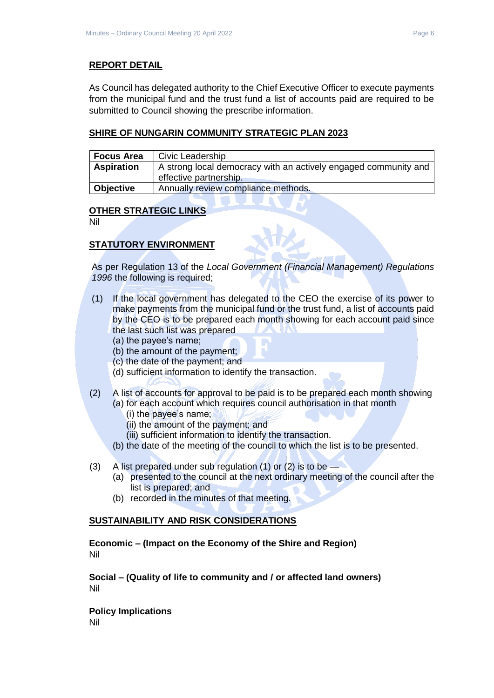#### **REPORT DETAIL**

As Council has delegated authority to the Chief Executive Officer to execute payments from the municipal fund and the trust fund a list of accounts paid are required to be submitted to Council showing the prescribe information.

#### **SHIRE OF NUNGARIN COMMUNITY STRATEGIC PLAN 2023**

| <b>Focus Area</b> | Civic Leadership                                                                          |
|-------------------|-------------------------------------------------------------------------------------------|
| <b>Aspiration</b> | A strong local democracy with an actively engaged community and<br>effective partnership. |
| Objective         | Annually review compliance methods.                                                       |

#### **OTHER STRATEGIC LINKS**

Nil

#### **STATUTORY ENVIRONMENT**

As per Regulation 13 of the *Local Government (Financial Management) Regulations 1996* the following is required;

- (1) If the local government has delegated to the CEO the exercise of its power to make payments from the municipal fund or the trust fund, a list of accounts paid by the CEO is to be prepared each month showing for each account paid since the last such list was prepared
	- (a) the payee's name;
	- (b) the amount of the payment;
	- (c) the date of the payment; and
	- (d) sufficient information to identify the transaction.
- (2) A list of accounts for approval to be paid is to be prepared each month showing (a) for each account which requires council authorisation in that month
	- (i) the payee's name;
	- (ii) the amount of the payment; and
	- (iii) sufficient information to identify the transaction.
	- (b) the date of the meeting of the council to which the list is to be presented.
- (3) A list prepared under sub regulation (1) or (2) is to be
	- (a) presented to the council at the next ordinary meeting of the council after the list is prepared; and
	- (b) recorded in the minutes of that meeting.

#### **SUSTAINABILITY AND RISK CONSIDERATIONS**

**Economic – (Impact on the Economy of the Shire and Region)** Nil

**Social – (Quality of life to community and / or affected land owners)** Nil

**Policy Implications** Nil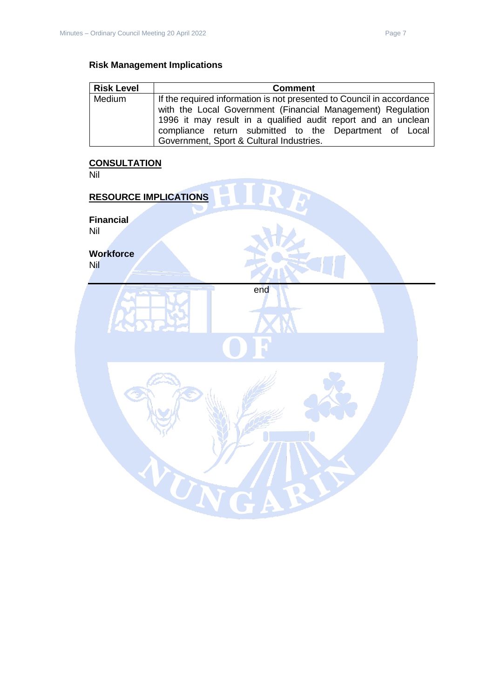## **Risk Management Implications**

| <b>Risk Level</b> | <b>Comment</b>                                                        |  |  |  |
|-------------------|-----------------------------------------------------------------------|--|--|--|
| Medium            | If the required information is not presented to Council in accordance |  |  |  |
|                   | with the Local Government (Financial Management) Regulation           |  |  |  |
|                   | 1996 it may result in a qualified audit report and an unclean         |  |  |  |
|                   | compliance return submitted to the Department of Local                |  |  |  |
|                   | Government, Sport & Cultural Industries.                              |  |  |  |

#### **CONSULTATION**

Nil

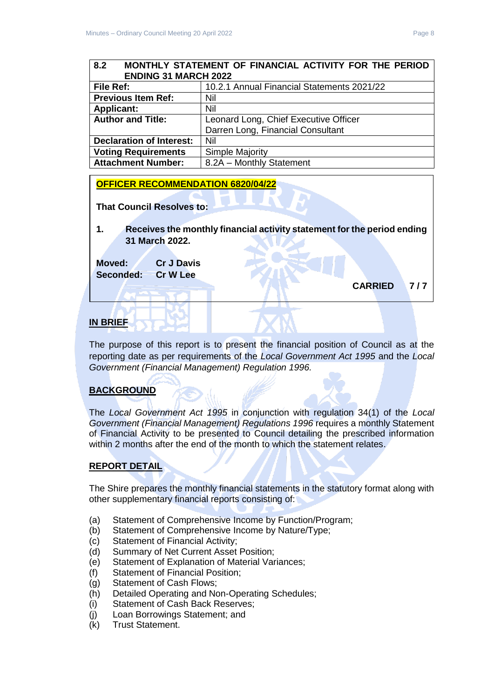### <span id="page-7-0"></span>**8.2 MONTHLY STATEMENT OF FINANCIAL ACTIVITY FOR THE PERIOD ENDING 31 MARCH 2022**

| <b>File Ref:</b>                | 10.2.1 Annual Financial Statements 2021/22 |
|---------------------------------|--------------------------------------------|
| <b>Previous Item Ref:</b>       | Nil                                        |
| <b>Applicant:</b>               | Nil                                        |
| <b>Author and Title:</b>        | Leonard Long, Chief Executive Officer      |
|                                 | Darren Long, Financial Consultant          |
| <b>Declaration of Interest:</b> | Nil                                        |
| <b>Voting Requirements</b>      | <b>Simple Majority</b>                     |
| <b>Attachment Number:</b>       | 8.2A - Monthly Statement                   |

#### **OFFICER RECOMMENDATION 6820/04/22**

**That Council Resolves to:** 

**1. Receives the monthly financial activity statement for the period ending 31 March 2022.**

**Moved: Cr J Davis Seconded: Cr W Lee**

**CARRIED 7 / 7** 

#### **IN BRIEF**

The purpose of this report is to present the financial position of Council as at the reporting date as per requirements of the *Local Government Act 1995* and the *Local Government (Financial Management) Regulation 1996.*

#### **BACKGROUND**

The *Local Government Act 1995* in conjunction with regulation 34(1) of the *Local Government (Financial Management) Regulations 1996* requires a monthly Statement of Financial Activity to be presented to Council detailing the prescribed information within 2 months after the end of the month to which the statement relates.

#### **REPORT DETAIL**

The Shire prepares the monthly financial statements in the statutory format along with other supplementary financial reports consisting of:

- (a) Statement of Comprehensive Income by Function/Program;
- (b) Statement of Comprehensive Income by Nature/Type;
- (c) Statement of Financial Activity;
- (d) Summary of Net Current Asset Position;
- (e) Statement of Explanation of Material Variances;
- (f) Statement of Financial Position;
- (g) Statement of Cash Flows;
- (h) Detailed Operating and Non-Operating Schedules;
- (i) Statement of Cash Back Reserves;
- (j) Loan Borrowings Statement; and
- (k) Trust Statement.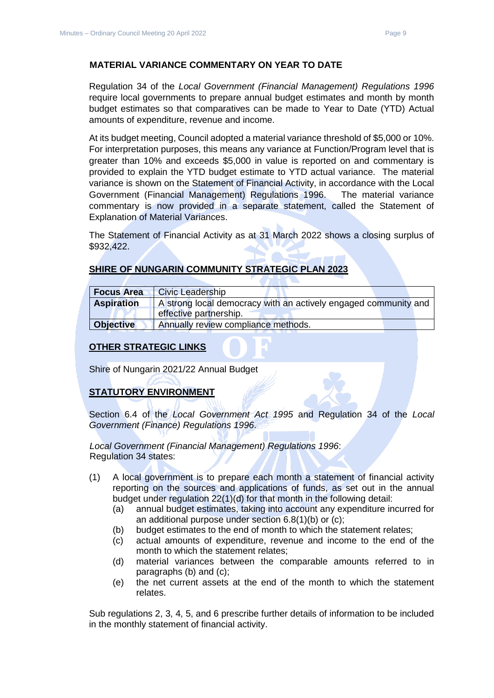#### **MATERIAL VARIANCE COMMENTARY ON YEAR TO DATE**

Regulation 34 of the *Local Government (Financial Management) Regulations 1996*  require local governments to prepare annual budget estimates and month by month budget estimates so that comparatives can be made to Year to Date (YTD) Actual amounts of expenditure, revenue and income.

At its budget meeting, Council adopted a material variance threshold of \$5,000 or 10%. For interpretation purposes, this means any variance at Function/Program level that is greater than 10% and exceeds \$5,000 in value is reported on and commentary is provided to explain the YTD budget estimate to YTD actual variance. The material variance is shown on the Statement of Financial Activity, in accordance with the Local Government (Financial Management) Regulations 1996. The material variance commentary is now provided in a separate statement, called the Statement of Explanation of Material Variances.

The Statement of Financial Activity as at 31 March 2022 shows a closing surplus of \$932,422.

#### **SHIRE OF NUNGARIN COMMUNITY STRATEGIC PLAN 2023**

| <b>Focus Area</b>                                                                    | <b>Civic Leadership</b>             |  |  |
|--------------------------------------------------------------------------------------|-------------------------------------|--|--|
| A strong local democracy with an actively engaged community and<br><b>Aspiration</b> |                                     |  |  |
|                                                                                      | effective partnership.              |  |  |
| <b>Objective</b>                                                                     | Annually review compliance methods. |  |  |

#### **OTHER STRATEGIC LINKS**

Shire of Nungarin 2021/22 Annual Budget

#### **STATUTORY ENVIRONMENT**

Section 6.4 of the *Local Government Act 1995* and Regulation 34 of the *Local Government (Finance) Regulations 1996*.

*Local Government (Financial Management) Regulations 1996*: Regulation 34 states:

- (1) A local government is to prepare each month a statement of financial activity reporting on the sources and applications of funds, as set out in the annual budget under regulation 22(1)(d) for that month in the following detail:
	- (a) annual budget estimates, taking into account any expenditure incurred for an additional purpose under section 6.8(1)(b) or (c);
	- (b) budget estimates to the end of month to which the statement relates;
	- (c) actual amounts of expenditure, revenue and income to the end of the month to which the statement relates;
	- (d) material variances between the comparable amounts referred to in paragraphs (b) and (c);
	- (e) the net current assets at the end of the month to which the statement relates.

Sub regulations 2, 3, 4, 5, and 6 prescribe further details of information to be included in the monthly statement of financial activity.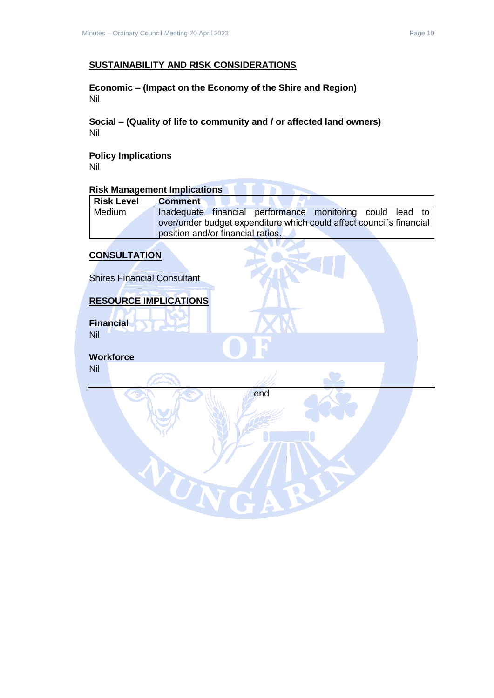#### **SUSTAINABILITY AND RISK CONSIDERATIONS**

**Economic – (Impact on the Economy of the Shire and Region)** Nil

**Social – (Quality of life to community and / or affected land owners)** Nil

**Policy Implications** Nil

## **Risk Management Implications**

| <b>Risk Level</b> | <b>Comment</b>                                                       |
|-------------------|----------------------------------------------------------------------|
| Medium            | Inadequate financial performance monitoring could lead to            |
|                   | over/under budget expenditure which could affect council's financial |
|                   | position and/or financial ratios.                                    |

#### **CONSULTATION**

Shires Financial Consultant

#### **RESOURCE IMPLICATIONS**

WN

**Financial** Nil

**Workforce** Nil

end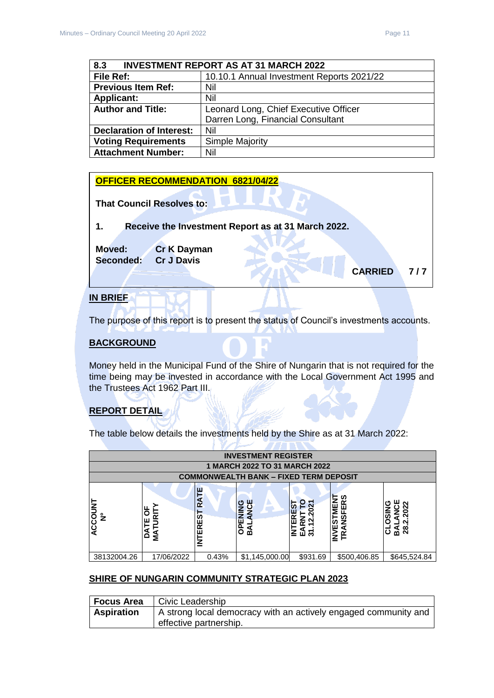<span id="page-10-0"></span>

| <b>INVESTMENT REPORT AS AT 31 MARCH 2022</b><br>8.3 |                                           |  |  |  |
|-----------------------------------------------------|-------------------------------------------|--|--|--|
| File Ref:                                           | 10.10.1 Annual Investment Reports 2021/22 |  |  |  |
| <b>Previous Item Ref:</b>                           | Nil                                       |  |  |  |
| <b>Applicant:</b>                                   | Nil                                       |  |  |  |
| <b>Author and Title:</b>                            | Leonard Long, Chief Executive Officer     |  |  |  |
|                                                     | Darren Long, Financial Consultant         |  |  |  |
| <b>Declaration of Interest:</b>                     | Nil                                       |  |  |  |
| <b>Voting Requirements</b>                          | Simple Majority                           |  |  |  |
| <b>Attachment Number:</b>                           | Nil                                       |  |  |  |

## **IN BRIEF OFFICER RECOMMENDATION 6821/04/22 That Council Resolves to: 1. Receive the Investment Report as at 31 March 2022. Moved: Cr K Dayman Seconded: Cr J Davis CARRIED 7 / 7**

## The purpose of this report is to present the status of Council's investments accounts.

#### **BACKGROUND**

Money held in the Municipal Fund of the Shire of Nungarin that is not required for the time being may be invested in accordance with the Local Government Act 1995 and the Trustees Act 1962 Part III.

## **REPORT DETAIL**

The table below details the investments held by the Shire as at 31 March 2022:

|                        | <b>INVESTMENT REGISTER</b>      |                         |                                                          |              |                                                             |                                    |
|------------------------|---------------------------------|-------------------------|----------------------------------------------------------|--------------|-------------------------------------------------------------|------------------------------------|
|                        |                                 |                         | 1 MARCH 2022 TO 31 MARCH 2022                            |              |                                                             |                                    |
|                        |                                 |                         | <b>COMMONWEALTH BANK - FIXED TERM DEPOSIT</b>            |              |                                                             |                                    |
| ACCOUNT<br>$\tilde{z}$ | p<br>⊢<br>≅<br>ш<br>-<br>á<br>≨ | RATE<br><b>INTEREST</b> | ш<br>O<br>$\frac{c}{2}$<br>ENIN<br>$\overline{6}$<br>ิธี | œ<br>같<br>교원 | ທ<br>≃<br>ш<br>Ξ<br>$\frac{9}{2}$<br>57<br>ш<br>a<br>≃<br>≙ | ິ<br><b>SC</b><br><u>ଣ</u> ଷ୍<br>ပ |
| 38132004.26            | 17/06/2022                      | 0.43%                   | \$1,145,000.00                                           | \$931.69     | \$500,406.85                                                | \$645,524.84                       |

#### **SHIRE OF NUNGARIN COMMUNITY STRATEGIC PLAN 2023**

| Focus Area        | Civic Leadership                                                |
|-------------------|-----------------------------------------------------------------|
| <b>Aspiration</b> | A strong local democracy with an actively engaged community and |
|                   | effective partnership.                                          |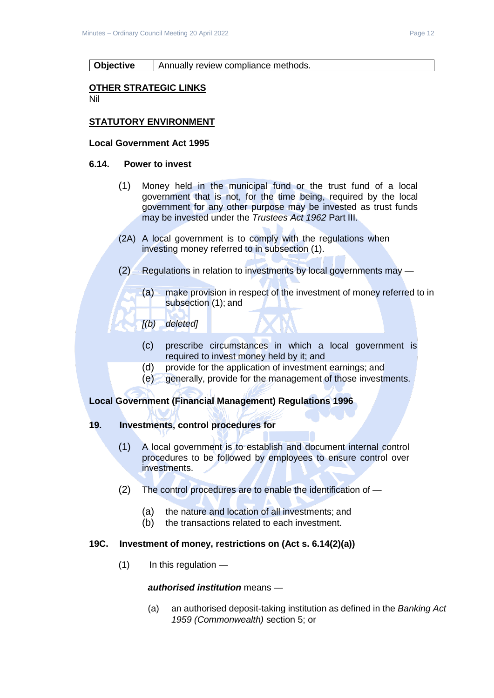#### **Objective** | Annually review compliance methods.

#### **OTHER STRATEGIC LINKS**

Nil

#### **STATUTORY ENVIRONMENT**

#### **Local Government Act 1995**

#### **6.14. Power to invest**

- (1) Money held in the municipal fund or the trust fund of a local government that is not, for the time being, required by the local government for any other purpose may be invested as trust funds may be invested under the *Trustees Act 1962* Part III.
- (2A) A local government is to comply with the regulations when investing money referred to in subsection (1).
- (2) Regulations in relation to investments by local governments may
	- (a) make provision in respect of the investment of money referred to in subsection (1); and
	- *[(b) deleted]*
		- (c) prescribe circumstances in which a local government is required to invest money held by it; and
		- (d) provide for the application of investment earnings; and
		- (e) generally, provide for the management of those investments.

#### **Local Government (Financial Management) Regulations 1996**

#### **19. Investments, control procedures for**

- (1) A local government is to establish and document internal control procedures to be followed by employees to ensure control over investments.
- (2) The control procedures are to enable the identification of
	- (a) the nature and location of all investments; and
	- (b) the transactions related to each investment.

#### **19C. Investment of money, restrictions on (Act s. 6.14(2)(a))**

 $(1)$  In this regulation —

#### *authorised institution* means —

(a) an authorised deposit-taking institution as defined in the *Banking Act 1959 (Commonwealth)* section 5; or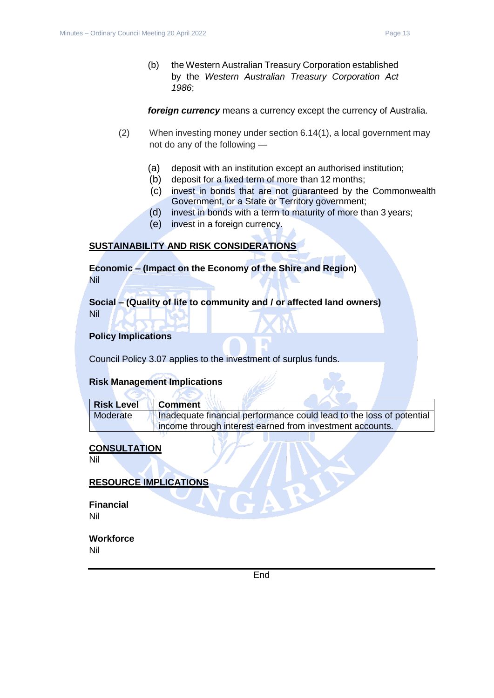(b) the Western Australian Treasury Corporation established by the *Western Australian Treasury Corporation Act 1986*;

*foreign currency* means a currency except the currency of Australia.

- (2) When investing money under section 6.14(1), a local government may not do any of the following —
	- (a) deposit with an institution except an authorised institution;
	- (b) deposit for a fixed term of more than 12 months;
	- (c) invest in bonds that are not guaranteed by the Commonwealth Government, or a State or Territory government;
	- (d) invest in bonds with a term to maturity of more than 3 years;
	- (e) invest in a foreign currency.

#### **SUSTAINABILITY AND RISK CONSIDERATIONS**

**Economic – (Impact on the Economy of the Shire and Region)** Nil

**Social – (Quality of life to community and / or affected land owners)** Nil

#### **Policy Implications**

Council Policy 3.07 applies to the investment of surplus funds.

 $AC > 11$ 

#### **Risk Management Implications**

**CENT** 

| <b>Risk Level</b> | <b>Comment</b>                                                       |
|-------------------|----------------------------------------------------------------------|
| Moderate          | Inadequate financial performance could lead to the loss of potential |
|                   | income through interest earned from investment accounts.             |

#### **CONSULTATION**

Nil

#### **RESOURCE IMPLICATIONS**

**Financial** Nil

**Workforce** Nil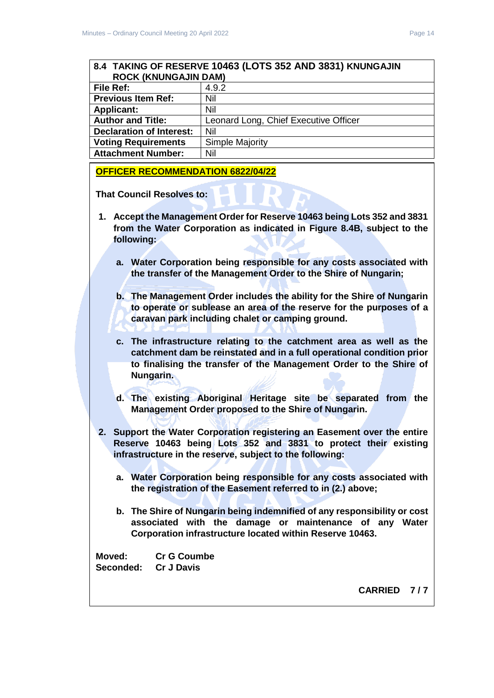## <span id="page-13-0"></span>**8.4 TAKING OF RESERVE 10463 (LOTS 352 AND 3831) KNUNGAJIN ROCK (KNUNGAJIN DAM) File Ref:**  $\begin{array}{ccc} 4.9.2 \end{array}$

| <b>Previous Item Ref:</b>       | Nil                                   |
|---------------------------------|---------------------------------------|
| <b>Applicant:</b>               | Nil                                   |
| <b>Author and Title:</b>        | Leonard Long, Chief Executive Officer |
| <b>Declaration of Interest:</b> | Nil                                   |
| <b>Voting Requirements</b>      | Simple Majority                       |
| <b>Attachment Number:</b>       | Nil                                   |

#### **OFFICER RECOMMENDATION 6822/04/22**

**That Council Resolves to:**

- **1. Accept the Management Order for Reserve 10463 being Lots 352 and 3831 from the Water Corporation as indicated in Figure 8.4B, subject to the following:**
	- **a. Water Corporation being responsible for any costs associated with the transfer of the Management Order to the Shire of Nungarin;**
	- **b. The Management Order includes the ability for the Shire of Nungarin to operate or sublease an area of the reserve for the purposes of a caravan park including chalet or camping ground.**
	- **c. The infrastructure relating to the catchment area as well as the catchment dam be reinstated and in a full operational condition prior to finalising the transfer of the Management Order to the Shire of Nungarin.**
	- **d. The existing Aboriginal Heritage site be separated from the Management Order proposed to the Shire of Nungarin.**
- **2. Support the Water Corporation registering an Easement over the entire Reserve 10463 being Lots 352 and 3831 to protect their existing infrastructure in the reserve, subject to the following:**
	- **a. Water Corporation being responsible for any costs associated with the registration of the Easement referred to in (2.) above;**
	- **b. The Shire of Nungarin being indemnified of any responsibility or cost associated with the damage or maintenance of any Water Corporation infrastructure located within Reserve 10463.**

**Moved: Cr G Coumbe Seconded: Cr J Davis**

**CARRIED 7 / 7**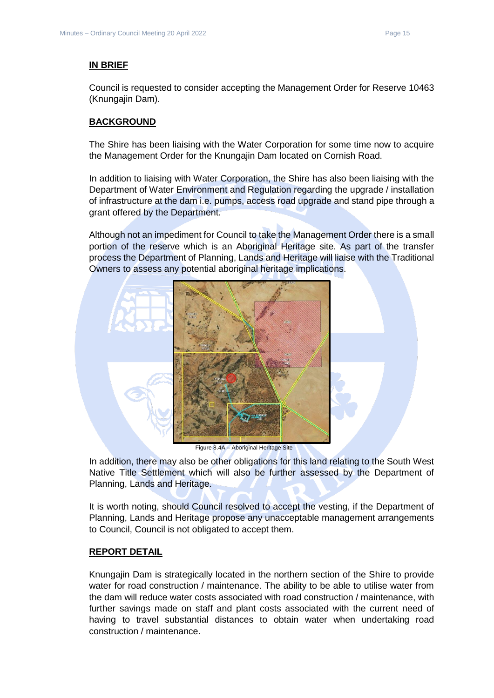#### **IN BRIEF**

Council is requested to consider accepting the Management Order for Reserve 10463 (Knungajin Dam).

#### **BACKGROUND**

The Shire has been liaising with the Water Corporation for some time now to acquire the Management Order for the Knungajin Dam located on Cornish Road.

In addition to liaising with Water Corporation, the Shire has also been liaising with the Department of Water Environment and Regulation regarding the upgrade / installation of infrastructure at the dam i.e. pumps, access road upgrade and stand pipe through a grant offered by the Department.

Although not an impediment for Council to take the Management Order there is a small portion of the reserve which is an Aboriginal Heritage site. As part of the transfer process the Department of Planning, Lands and Heritage will liaise with the Traditional Owners to assess any potential aboriginal heritage implications.



Figure 8.4A – Aboriginal Heritage Site

In addition, there may also be other obligations for this land relating to the South West Native Title Settlement which will also be further assessed by the Department of Planning, Lands and Heritage.

It is worth noting, should Council resolved to accept the vesting, if the Department of Planning, Lands and Heritage propose any unacceptable management arrangements to Council, Council is not obligated to accept them.

#### **REPORT DETAIL**

Knungajin Dam is strategically located in the northern section of the Shire to provide water for road construction / maintenance. The ability to be able to utilise water from the dam will reduce water costs associated with road construction / maintenance, with further savings made on staff and plant costs associated with the current need of having to travel substantial distances to obtain water when undertaking road construction / maintenance.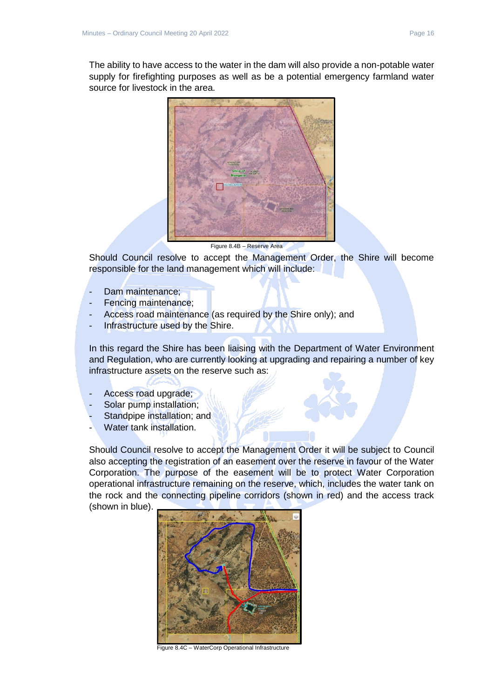The ability to have access to the water in the dam will also provide a non-potable water supply for firefighting purposes as well as be a potential emergency farmland water source for livestock in the area.



Figure 8.4B – Reserve Area

Should Council resolve to accept the Management Order, the Shire will become responsible for the land management which will include:

- Dam maintenance;
- Fencing maintenance;
- Access road maintenance (as required by the Shire only); and
- Infrastructure used by the Shire.

In this regard the Shire has been liaising with the Department of Water Environment and Regulation, who are currently looking at upgrading and repairing a number of key infrastructure assets on the reserve such as:

- Access road upgrade;
- Solar pump installation:
- Standpipe installation; and
- Water tank installation.

Should Council resolve to accept the Management Order it will be subject to Council also accepting the registration of an easement over the reserve in favour of the Water Corporation. The purpose of the easement will be to protect Water Corporation operational infrastructure remaining on the reserve, which, includes the water tank on the rock and the connecting pipeline corridors (shown in red) and the access track (shown in blue).



Figure 8.4C – WaterCorp Operational Infrastructure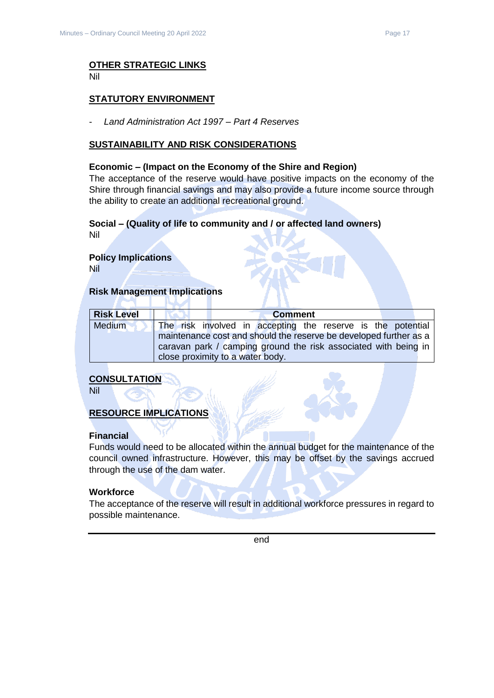#### **OTHER STRATEGIC LINKS** Nil

#### **STATUTORY ENVIRONMENT**

- *Land Administration Act 1997 – Part 4 Reserves*

#### **SUSTAINABILITY AND RISK CONSIDERATIONS**

#### **Economic – (Impact on the Economy of the Shire and Region)**

The acceptance of the reserve would have positive impacts on the economy of the Shire through financial savings and may also provide a future income source through the ability to create an additional recreational ground.

#### **Social – (Quality of life to community and / or affected land owners)**

Nil

## **Policy Implications**

Nil

#### **Risk Management Implications**

| <b>Risk Level</b> | <b>Comment</b>                                                    |  |
|-------------------|-------------------------------------------------------------------|--|
| <b>Medium</b>     | The risk involved in accepting the reserve is the potential       |  |
|                   | maintenance cost and should the reserve be developed further as a |  |
|                   | caravan park / camping ground the risk associated with being in   |  |
|                   | close proximity to a water body.                                  |  |

#### **CONSULTATION**

Nil

#### **RESOURCE IMPLICATIONS**

#### **Financial**

Funds would need to be allocated within the annual budget for the maintenance of the council owned infrastructure. However, this may be offset by the savings accrued through the use of the dam water.

#### **Workforce**

The acceptance of the reserve will result in additional workforce pressures in regard to possible maintenance.

end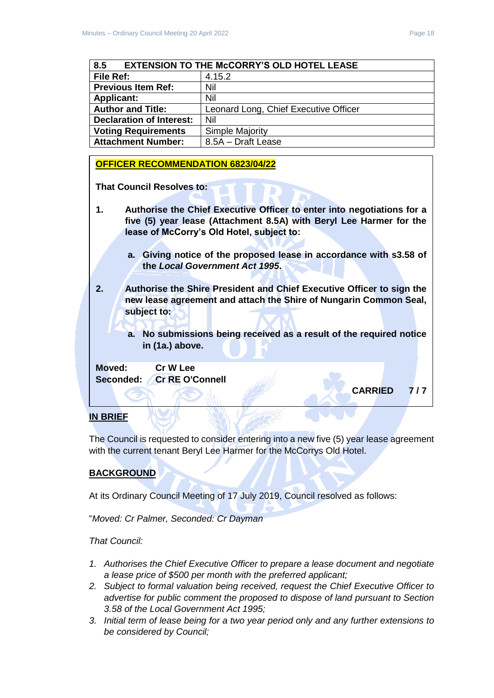<span id="page-17-0"></span>

| <b>EXTENSION TO THE McCORRY'S OLD HOTEL LEASE</b><br>8.5 |                                       |
|----------------------------------------------------------|---------------------------------------|
| File Ref:                                                | 4.15.2                                |
| <b>Previous Item Ref:</b>                                | Nil                                   |
| <b>Applicant:</b>                                        | Nil                                   |
| <b>Author and Title:</b>                                 | Leonard Long, Chief Executive Officer |
| <b>Declaration of Interest:</b>                          | Nil                                   |
| <b>Voting Requirements</b>                               | <b>Simple Majority</b>                |
| <b>Attachment Number:</b>                                | 8.5A - Draft Lease                    |

#### **OFFICER RECOMMENDATION 6823/04/22**

**That Council Resolves to:** 

- **1. Authorise the Chief Executive Officer to enter into negotiations for a five (5) year lease (Attachment 8.5A) with Beryl Lee Harmer for the lease of McCorry's Old Hotel, subject to:**
	- **a. Giving notice of the proposed lease in accordance with s3.58 of the** *Local Government Act 1995***.**
- **2. Authorise the Shire President and Chief Executive Officer to sign the new lease agreement and attach the Shire of Nungarin Common Seal, subject to:**
	- **a. No submissions being received as a result of the required notice in (1a.) above.**

**Moved: Cr W Lee Seconded: Cr RE O'Connell**

**CARRIED 7 / 7** 

#### **IN BRIEF**

The Council is requested to consider entering into a new five (5) year lease agreement with the current tenant Beryl Lee Harmer for the McCorrys Old Hotel.

#### **BACKGROUND**

At its Ordinary Council Meeting of 17 July 2019, Council resolved as follows:

"*Moved: Cr Palmer, Seconded: Cr Dayman*

#### *That Council:*

- *1. Authorises the Chief Executive Officer to prepare a lease document and negotiate a lease price of \$500 per month with the preferred applicant;*
- *2. Subject to formal valuation being received, request the Chief Executive Officer to advertise for public comment the proposed to dispose of land pursuant to Section 3.58 of the Local Government Act 1995;*
- *3. Initial term of lease being for a two year period only and any further extensions to be considered by Council;*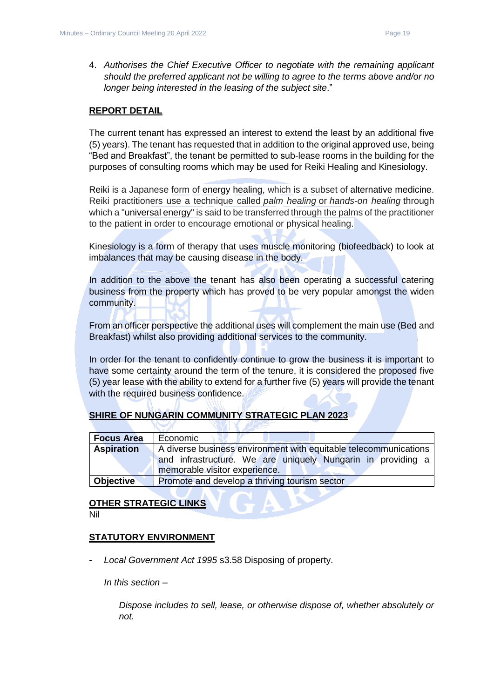4. *Authorises the Chief Executive Officer to negotiate with the remaining applicant should the preferred applicant not be willing to agree to the terms above and/or no longer being interested in the leasing of the subject site*."

#### **REPORT DETAIL**

The current tenant has expressed an interest to extend the least by an additional five (5) years). The tenant has requested that in addition to the original approved use, being "Bed and Breakfast", the tenant be permitted to sub-lease rooms in the building for the purposes of consulting rooms which may be used for Reiki Healing and Kinesiology.

Reiki is a Japanese form of energy healing, which is a subset of alternative medicine. Reiki practitioners use a technique called *palm healing* or *hands-on healing* through which a "universal energy" is said to be transferred through the palms of the practitioner to the patient in order to encourage emotional or physical healing.

Kinesiology is a form of therapy that uses muscle monitoring (biofeedback) to look at imbalances that may be causing disease in the body.

In addition to the above the tenant has also been operating a successful catering business from the property which has proved to be very popular amongst the widen community.

From an officer perspective the additional uses will complement the main use (Bed and Breakfast) whilst also providing additional services to the community.

In order for the tenant to confidently continue to grow the business it is important to have some certainty around the term of the tenure, it is considered the proposed five (5) year lease with the ability to extend for a further five (5) years will provide the tenant with the required business confidence.

#### **SHIRE OF NUNGARIN COMMUNITY STRATEGIC PLAN 2023**

| <b>Focus Area</b> | Economic                                                         |
|-------------------|------------------------------------------------------------------|
| <b>Aspiration</b> | A diverse business environment with equitable telecommunications |
|                   | and infrastructure. We are uniquely Nungarin in providing a      |
|                   | memorable visitor experience.                                    |
| <b>Objective</b>  | Promote and develop a thriving tourism sector                    |

#### **OTHER STRATEGIC LINKS**

Nil

#### **STATUTORY ENVIRONMENT**

- *Local Government Act 1995* s3.58 Disposing of property.

*In this section –*

*Dispose includes to sell, lease, or otherwise dispose of, whether absolutely or not.*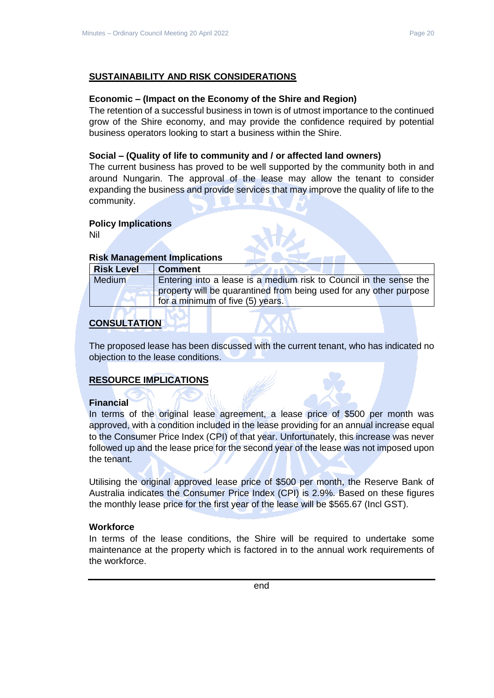#### **SUSTAINABILITY AND RISK CONSIDERATIONS**

#### **Economic – (Impact on the Economy of the Shire and Region)**

The retention of a successful business in town is of utmost importance to the continued grow of the Shire economy, and may provide the confidence required by potential business operators looking to start a business within the Shire.

#### **Social – (Quality of life to community and / or affected land owners)**

The current business has proved to be well supported by the community both in and around Nungarin. The approval of the lease may allow the tenant to consider expanding the business and provide services that may improve the quality of life to the community.

#### **Policy Implications**

Nil

#### **Risk Management Implications**

| <b>Risk Level</b> | ∣ Comment                                                          |
|-------------------|--------------------------------------------------------------------|
| Medium            | Entering into a lease is a medium risk to Council in the sense the |
|                   | property will be quarantined from being used for any other purpose |
|                   | for a minimum of five (5) years.                                   |

#### **CONSULTATION**

The proposed lease has been discussed with the current tenant, who has indicated no objection to the lease conditions.

#### **RESOURCE IMPLICATIONS**

#### **Financial**

In terms of the original lease agreement, a lease price of \$500 per month was approved, with a condition included in the lease providing for an annual increase equal to the Consumer Price Index (CPI) of that year. Unfortunately, this increase was never followed up and the lease price for the second year of the lease was not imposed upon the tenant.

Utilising the original approved lease price of \$500 per month, the Reserve Bank of Australia indicates the Consumer Price Index (CPI) is 2.9%. Based on these figures the monthly lease price for the first year of the lease will be \$565.67 (Incl GST).

#### **Workforce**

In terms of the lease conditions, the Shire will be required to undertake some maintenance at the property which is factored in to the annual work requirements of the workforce.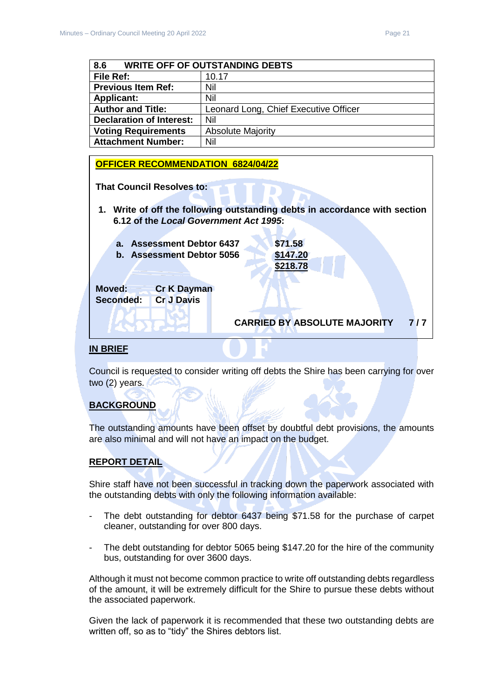<span id="page-20-0"></span>

| 8.6<br><b>WRITE OFF OF OUTSTANDING DEBTS</b> |                                       |
|----------------------------------------------|---------------------------------------|
| File Ref:                                    | 10.17                                 |
| <b>Previous Item Ref:</b>                    | Nil                                   |
| <b>Applicant:</b>                            | Nil                                   |
| <b>Author and Title:</b>                     | Leonard Long, Chief Executive Officer |
| <b>Declaration of Interest:</b>              | Nil                                   |
| <b>Voting Requirements</b>                   | <b>Absolute Majority</b>              |
| <b>Attachment Number:</b>                    | Nil                                   |

#### **OFFICER RECOMMENDATION 6824/04/22**

**That Council Resolves to:** 

- **1. Write of off the following outstanding debts in accordance with section 6.12 of the** *Local Government Act 1995***:**
	- **a. Assessment Debtor 6437 \$71.58 b. Assessment Debtor 5056 \$147.20**

 **\$218.78**

**CARRIED BY ABSOLUTE MAJORITY 7 / 7** 

**Moved: Cr K Dayman Seconded: Cr J Davis**

#### **IN BRIEF**

Council is requested to consider writing off debts the Shire has been carrying for over two (2) years.

#### **BACKGROUND**

The outstanding amounts have been offset by doubtful debt provisions, the amounts are also minimal and will not have an impact on the budget.

#### **REPORT DETAIL**

Shire staff have not been successful in tracking down the paperwork associated with the outstanding debts with only the following information available:

- The debt outstanding for debtor 6437 being \$71.58 for the purchase of carpet cleaner, outstanding for over 800 days.
- The debt outstanding for debtor 5065 being \$147.20 for the hire of the community bus, outstanding for over 3600 days.

Although it must not become common practice to write off outstanding debts regardless of the amount, it will be extremely difficult for the Shire to pursue these debts without the associated paperwork.

Given the lack of paperwork it is recommended that these two outstanding debts are written off, so as to "tidy" the Shires debtors list.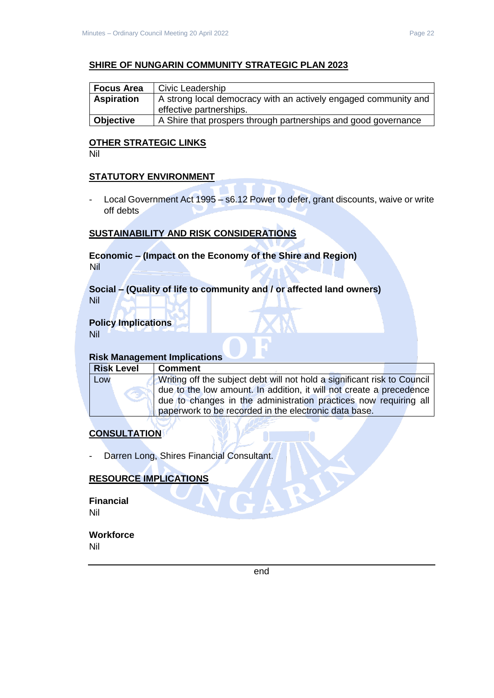#### **SHIRE OF NUNGARIN COMMUNITY STRATEGIC PLAN 2023**

| <b>Focus Area</b> | Civic Leadership                                                |  |
|-------------------|-----------------------------------------------------------------|--|
| <b>Aspiration</b> | A strong local democracy with an actively engaged community and |  |
|                   | effective partnerships.                                         |  |
| <b>Objective</b>  | A Shire that prospers through partnerships and good governance  |  |

#### **OTHER STRATEGIC LINKS**

Nil

#### **STATUTORY ENVIRONMENT**

- Local Government Act 1995 – s6.12 Power to defer, grant discounts, waive or write off debts

#### **SUSTAINABILITY AND RISK CONSIDERATIONS**

#### **Economic – (Impact on the Economy of the Shire and Region)** Nil

#### **Social – (Quality of life to community and / or affected land owners)** Nil

## **Policy Implications**

Nil

#### **Risk Management Implications**

| <b>Risk Level</b> | l Comment                                                                |
|-------------------|--------------------------------------------------------------------------|
| Low               | Writing off the subject debt will not hold a significant risk to Council |
|                   | due to the low amount. In addition, it will not create a precedence      |
|                   | due to changes in the administration practices now requiring all         |
|                   | paperwork to be recorded in the electronic data base.                    |
|                   |                                                                          |

### **CONSULTATION**

Darren Long, Shires Financial Consultant.

#### **RESOURCE IMPLICATIONS**

**Financial** Nil

#### **Workforce** Nil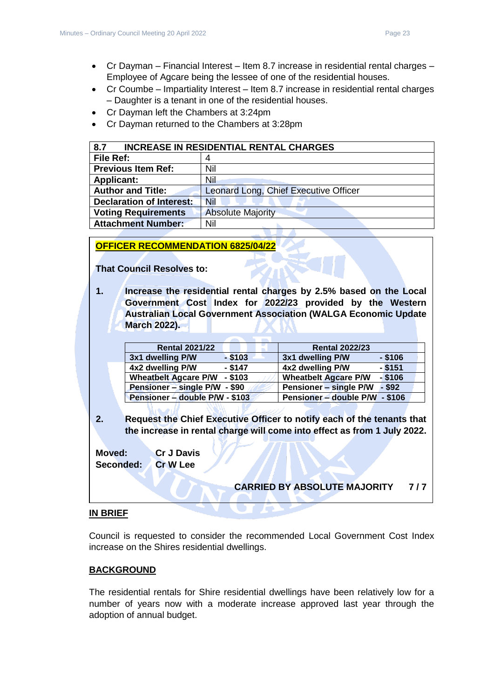- Cr Dayman Financial Interest Item 8.7 increase in residential rental charges Employee of Agcare being the lessee of one of the residential houses.
- Cr Coumbe Impartiality Interest Item 8.7 increase in residential rental charges – Daughter is a tenant in one of the residential houses.
- Cr Dayman left the Chambers at 3:24pm
- Cr Dayman returned to the Chambers at 3:28pm

<span id="page-22-0"></span>

| 8.7<br><b>INCREASE IN RESIDENTIAL RENTAL CHARGES</b> |                                       |
|------------------------------------------------------|---------------------------------------|
| <b>File Ref:</b>                                     | 4                                     |
| <b>Previous Item Ref:</b>                            | Nil                                   |
| <b>Applicant:</b>                                    | Nil                                   |
| <b>Author and Title:</b>                             | Leonard Long, Chief Executive Officer |
| <b>Declaration of Interest:</b>                      | Nil                                   |
| <b>Voting Requirements</b>                           | <b>Absolute Majority</b>              |
| <b>Attachment Number:</b>                            | Nil                                   |

**OFFICER RECOMMENDATION 6825/04/22** 

**That Council Resolves to:** 

**1. Increase the residential rental charges by 2.5% based on the Local Government Cost Index for 2022/23 provided by the Western Australian Local Government Association (WALGA Economic Update March 2022).**

| <b>Rental 2021/22</b>                    | <b>Rental 2022/23</b>                     |
|------------------------------------------|-------------------------------------------|
| $-$ \$103<br>3x1 dwelling P/W            | 3x1 dwelling P/W<br>$-$ \$106             |
| $-$ \$147<br>4x2 dwelling P/W            | $-$ \$151<br>4x2 dwelling P/W             |
| $-$ \$103<br><b>Wheatbelt Agcare P/W</b> | $-$ \$106<br><b>Wheatbelt Agcare P/W</b>  |
| Pensioner – single P/W - \$90            | <b>Pensioner - single P/W</b><br>$-$ \$92 |
| Pensioner – double P/W - \$103           | Pensioner - double P/W - \$106            |

**2. Request the Chief Executive Officer to notify each of the tenants that the increase in rental charge will come into effect as from 1 July 2022.**

**Moved: Cr J Davis Seconded: Cr W Lee**

**CARRIED BY ABSOLUTE MAJORITY 7 / 7** 

## **IN BRIEF**

Council is requested to consider the recommended Local Government Cost Index increase on the Shires residential dwellings.

#### **BACKGROUND**

The residential rentals for Shire residential dwellings have been relatively low for a number of years now with a moderate increase approved last year through the adoption of annual budget.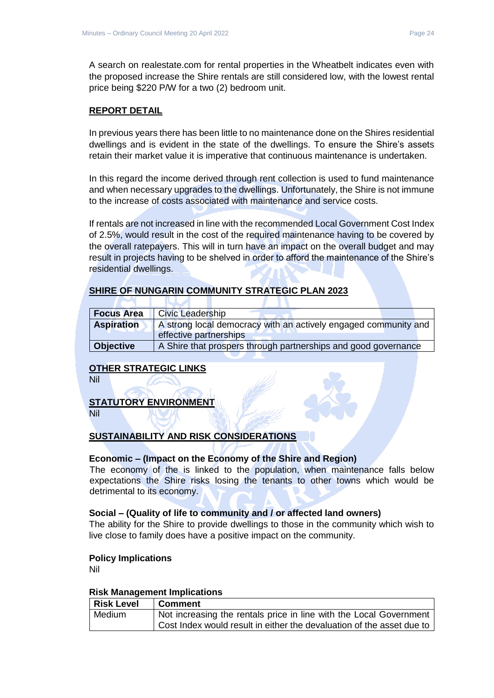A search on realestate.com for rental properties in the Wheatbelt indicates even with the proposed increase the Shire rentals are still considered low, with the lowest rental price being \$220 P/W for a two (2) bedroom unit.

#### **REPORT DETAIL**

In previous years there has been little to no maintenance done on the Shires residential dwellings and is evident in the state of the dwellings. To ensure the Shire's assets retain their market value it is imperative that continuous maintenance is undertaken.

In this regard the income derived through rent collection is used to fund maintenance and when necessary upgrades to the dwellings. Unfortunately, the Shire is not immune to the increase of costs associated with maintenance and service costs.

If rentals are not increased in line with the recommended Local Government Cost Index of 2.5%, would result in the cost of the required maintenance having to be covered by the overall ratepayers. This will in turn have an impact on the overall budget and may result in projects having to be shelved in order to afford the maintenance of the Shire's residential dwellings.

#### **SHIRE OF NUNGARIN COMMUNITY STRATEGIC PLAN 2023**

×

| <b>Focus Area</b> | <b>Civic Leadership</b>                                                                   |
|-------------------|-------------------------------------------------------------------------------------------|
| <b>Aspiration</b> | A strong local democracy with an actively engaged community and<br>effective partnerships |
|                   |                                                                                           |
| <b>Objective</b>  | A Shire that prospers through partnerships and good governance                            |

#### **OTHER STRATEGIC LINKS**

**RAZ** 

Nil

#### **STATUTORY ENVIRONMENT**

Nil

#### **SUSTAINABILITY AND RISK CONSIDERATIONS**

#### **Economic – (Impact on the Economy of the Shire and Region)**

The economy of the is linked to the population, when maintenance falls below expectations the Shire risks losing the tenants to other towns which would be detrimental to its economy.

#### **Social – (Quality of life to community and / or affected land owners)**

The ability for the Shire to provide dwellings to those in the community which wish to live close to family does have a positive impact on the community.

#### **Policy Implications**

Nil

#### **Risk Management Implications**

| <b>Risk Level</b> | <b>Comment</b>                                                        |
|-------------------|-----------------------------------------------------------------------|
| Medium            | Not increasing the rentals price in line with the Local Government    |
|                   | Cost Index would result in either the devaluation of the asset due to |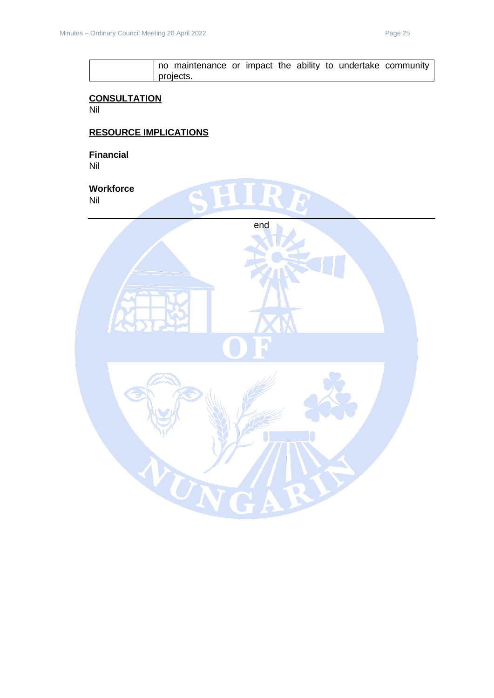

#### **CONSULTATION**

Nil

## **RESOURCE IMPLICATIONS**

**Financial** Nil

**Workforce** Nil

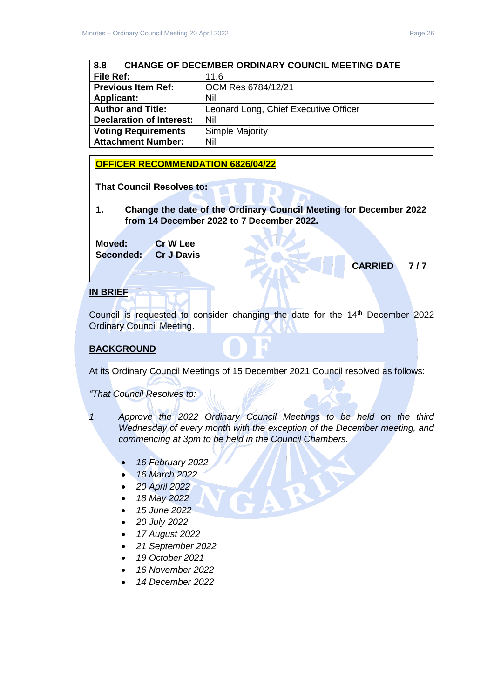<span id="page-25-0"></span>

| <b>CHANGE OF DECEMBER ORDINARY COUNCIL MEETING DATE</b><br>8.8 |                                       |  |
|----------------------------------------------------------------|---------------------------------------|--|
| <b>File Ref:</b>                                               | 11.6                                  |  |
| <b>Previous Item Ref:</b>                                      | OCM Res 6784/12/21                    |  |
| <b>Applicant:</b>                                              | Nil                                   |  |
| <b>Author and Title:</b>                                       | Leonard Long, Chief Executive Officer |  |
| <b>Declaration of Interest:</b>                                | Nil                                   |  |
| <b>Voting Requirements</b>                                     | Simple Majority                       |  |
| <b>Attachment Number:</b>                                      | Nil                                   |  |

#### **OFFICER RECOMMENDATION 6826/04/22**

**That Council Resolves to:** 

**1. Change the date of the Ordinary Council Meeting for December 2022 from 14 December 2022 to 7 December 2022.**

**Moved: Cr W Lee Seconded: Cr J Davis**

## **CARRIED 7 / 7**

#### **IN BRIEF**

Council is requested to consider changing the date for the 14<sup>th</sup> December 2022 Ordinary Council Meeting.

#### **BACKGROUND**

At its Ordinary Council Meetings of 15 December 2021 Council resolved as follows:

*"That Council Resolves to:*

- *1. Approve the 2022 Ordinary Council Meetings to be held on the third Wednesday of every month with the exception of the December meeting, and commencing at 3pm to be held in the Council Chambers.*
	- *16 February 2022*
	- *16 March 2022*
	- *20 April 2022*
	- *18 May 2022*
	- *15 June 2022*
	- *20 July 2022*
	- *17 August 2022*
	- *21 September 2022*
	- *19 October 2021*
	- *16 November 2022*
	- *14 December 2022*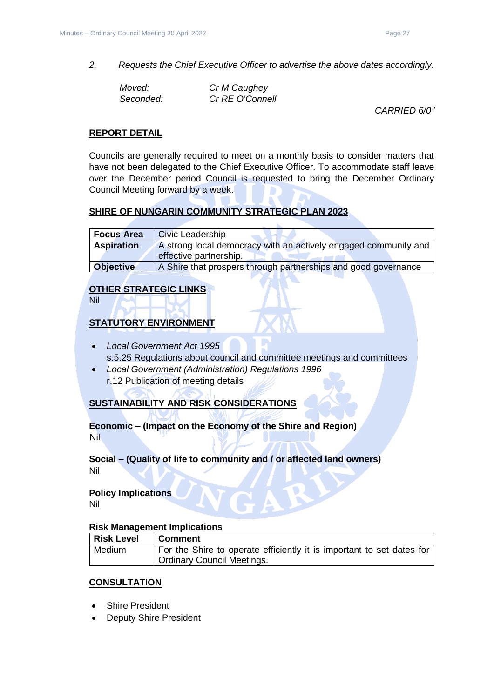*2. Requests the Chief Executive Officer to advertise the above dates accordingly.*

| Moved:    | Cr M Caughey    |
|-----------|-----------------|
| Seconded: | Cr RE O'Connell |

*CARRIED 6/0"*

#### **REPORT DETAIL**

Councils are generally required to meet on a monthly basis to consider matters that have not been delegated to the Chief Executive Officer. To accommodate staff leave over the December period Council is requested to bring the December Ordinary Council Meeting forward by a week.

#### **SHIRE OF NUNGARIN COMMUNITY STRATEGIC PLAN 2023**

| <b>Focus Area</b> | <b>Civic Leadership</b>                                         |
|-------------------|-----------------------------------------------------------------|
| <b>Aspiration</b> | A strong local democracy with an actively engaged community and |
|                   | effective partnership.                                          |
| <b>Objective</b>  | A Shire that prospers through partnerships and good governance  |

#### **OTHER STRATEGIC LINKS**

Nil

#### **STATUTORY ENVIRONMENT**

- *Local Government Act 1995* s.5.25 Regulations about council and committee meetings and committees
- *Local Government (Administration) Regulations 1996* r.12 Publication of meeting details

#### **SUSTAINABILITY AND RISK CONSIDERATIONS**

**Economic – (Impact on the Economy of the Shire and Region)** Nil

#### **Social – (Quality of life to community and / or affected land owners)** Nil

## **Policy Implications**

Nil

#### **Risk Management Implications**

| Risk Level | Comment                                                               |
|------------|-----------------------------------------------------------------------|
| Medium     | For the Shire to operate efficiently it is important to set dates for |
|            | Ordinary Council Meetings.                                            |

#### **CONSULTATION**

- **Shire President**
- **Deputy Shire President**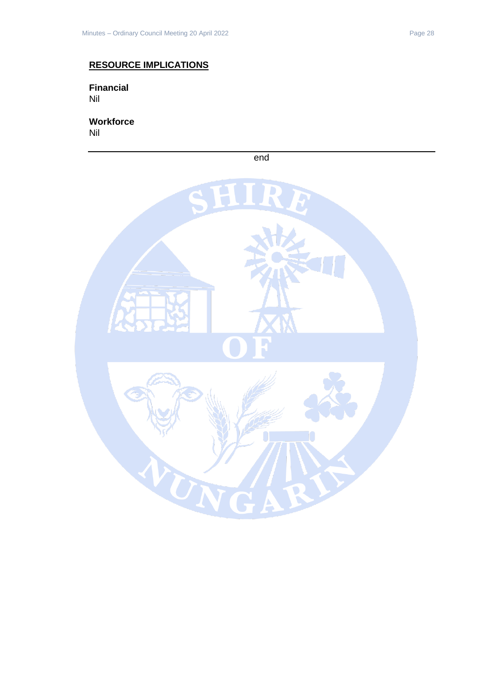## **RESOURCE IMPLICATIONS**

**Financial** Nil

**Workforce** Nil



end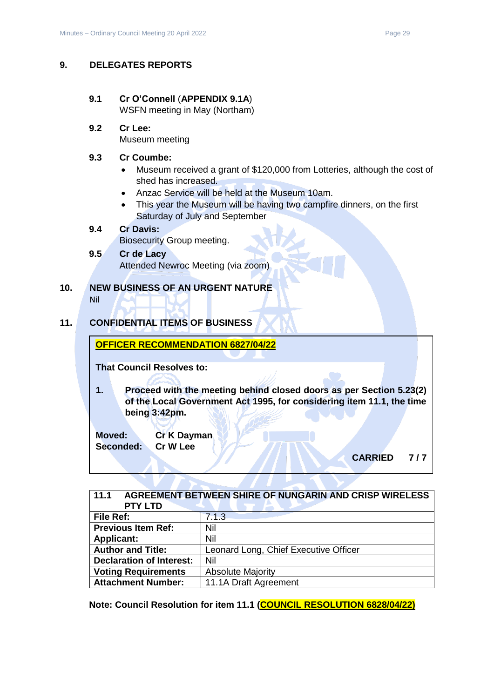#### <span id="page-28-0"></span>**9. DELEGATES REPORTS**

#### <span id="page-28-1"></span>**9.1 Cr O'Connell** (**APPENDIX 9.1A**) WSFN meeting in May (Northam)

**9.2 Cr Lee:** Museum meeting

#### **9.3 Cr Coumbe:**

- Museum received a grant of \$120,000 from Lotteries, although the cost of shed has increased.
- Anzac Service will be held at the Museum 10am.
- This year the Museum will be having two campfire dinners, on the first Saturday of July and September

## **9.4 Cr Davis:**

Biosecurity Group meeting.

#### **9.5 Cr de Lacy**

Attended Newroc Meeting (via zoom)

#### <span id="page-28-2"></span>**10. NEW BUSINESS OF AN URGENT NATURE** Nil

#### <span id="page-28-3"></span>**11. CONFIDENTIAL ITEMS OF BUSINESS**

#### **OFFICER RECOMMENDATION 6827/04/22**

**That Council Resolves to:** 

**1. Proceed with the meeting behind closed doors as per Section 5.23(2) of the Local Government Act 1995, for considering item 11.1, the time being 3:42pm.** 

**Moved: Cr K Dayman Seconded: Cr W Lee**

**CARRIED 7 / 7** 

<span id="page-28-4"></span>

| AGREEMENT BETWEEN SHIRE OF NUNGARIN AND CRISP WIRELESS<br>11.1<br><b>PTY LTD</b> |                                       |  |
|----------------------------------------------------------------------------------|---------------------------------------|--|
| File Ref:                                                                        | 7.1.3                                 |  |
| <b>Previous Item Ref:</b>                                                        | Nil                                   |  |
| <b>Applicant:</b>                                                                | Nil                                   |  |
| <b>Author and Title:</b>                                                         | Leonard Long, Chief Executive Officer |  |
| <b>Declaration of Interest:</b>                                                  | Nil                                   |  |
| <b>Voting Requirements</b>                                                       | <b>Absolute Majority</b>              |  |
| <b>Attachment Number:</b>                                                        | 11.1A Draft Agreement                 |  |

**Note: Council Resolution for item 11.1 (COUNCIL RESOLUTION 6828/04/22)**